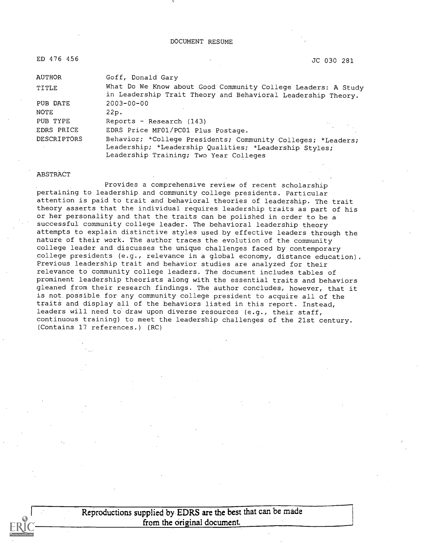| ED 476 456  | JC 030 281                                                                                                                                                       |  |
|-------------|------------------------------------------------------------------------------------------------------------------------------------------------------------------|--|
| AUTHOR      | Goff, Donald Gary                                                                                                                                                |  |
| TITLE       | What Do We Know about Good Community College Leaders: A Study<br>in Leadership Trait Theory and Behavioral Leadership Theory.                                    |  |
| PUB DATE    | $2003 - 00 - 00$                                                                                                                                                 |  |
| NOTE        | 22p.                                                                                                                                                             |  |
| PUB TYPE    | Reports - Research (143)                                                                                                                                         |  |
| EDRS PRICE  | EDRS Price MF01/PC01 Plus Postage.                                                                                                                               |  |
| DESCRIPTORS | Behavior; *College Presidents; Community Colleges; *Leaders;<br>Leadership; *Leadership Qualities; *Leadership Styles;<br>Leadership Training; Two Year Colleges |  |

#### ABSTRACT

Provides a comprehensive review of recent scholarship pertaining to leadership and community college presidents. Particular attention is paid to trait and behavioral theories of leadership. The trait theory asserts that the individual requires leadership traits as part of his or her personality and that the traits can be polished in order to be a successful community college leader. The behavioral leadership theory attempts to explain distinctive styles used by effective leaders through the nature of their work. The author traces the evolution of the community college leader and discusses the unique challenges faced by contemporary college presidents (e.g., relevance in a global economy, distance education). Previous leadership trait and behavior studies are analyzed for their relevance to community college leaders. The document includes tables of prominent leadership theorists along with the essential traits and behaviors gleaned from their research findings. The author concludes, however, that it is not possible for any community college president to acquire all of the traits and display all of the behaviors listed in this report. Instead, leaders will need to draw upon diverse resources (e.g., their staff, continuous training) to meet the leadership challenges of the 21st century. (Contains 17 references.) (RC)

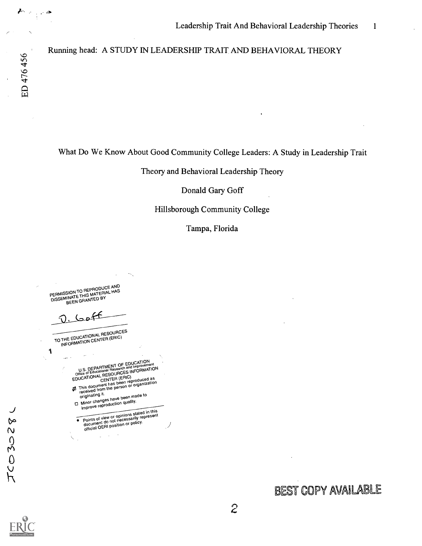$\sum_{i=1}^{n} \frac{1}{\left\| \mathcal{L}_{i}^{(i)} \right\|_{\mathcal{L}_{i}^{(i)}}} \leq \frac{1}{\left\| \mathcal{L}_{i}^{(i)} \right\|_{\mathcal{L}_{i}^{(i)}}} \leq \frac{1}{\left\| \mathcal{L}_{i}^{(i)} \right\|_{\mathcal{L}_{i}^{(i)}}} \leq \frac{1}{\left\| \mathcal{L}_{i}^{(i)} \right\|_{\mathcal{L}_{i}^{(i)}}} \leq \frac{1}{\left\| \mathcal{L}_{i}^{(i)} \right\|_{\mathcal{L}_{i}^{(i)}}} \leq$ 

Running head: A STUDY IN LEADERSHIP TRAIT AND BEHAVIORAL THEORY

## What Do We Know About Good Community College Leaders: A Study in Leadership Trait

#### Theory and Behavioral Leadership Theory

Donald Gary Goff

### Hillsborough Community College

Tampa, Florida

PERMISSION TO REPRODUCE AND<br>PERMISSION TO REPROTERIAL HAS PERMISSION TO HET TATERIAL HAS<br>DISSEMINATE THIS MATERIAL HAS<br>DISSEMINEEN GRANTED BY BEEN GRANTED BY

TO THE EDUCATIONAL RESOURCES INFORMATION CENTER (ERIC)

1 U.S. DEPARTMENT OF EDUCATION<br>Office of Educational Research and Improvement<br>EDUCATIONAL CENTER (ERIC)<br>EDUCATIONAL CENTER (ERIC) Even reproduced that has been reproduced tion<br>received from the person or organization<br>originating it.<br>The Minor changes have been made to<br> $\Box$  Minor changes duction quality.

Minor changes have been made to<br>improve reproduction quality.

**Points of view or opinions stated in this**<br>Points of view or opinions stated in this points of view or opinions arily represent<br>document do not necessarily represent document do not the policy.<br>official OERI position or policy.

 $\mathcal{I}$ 

sk

 $J$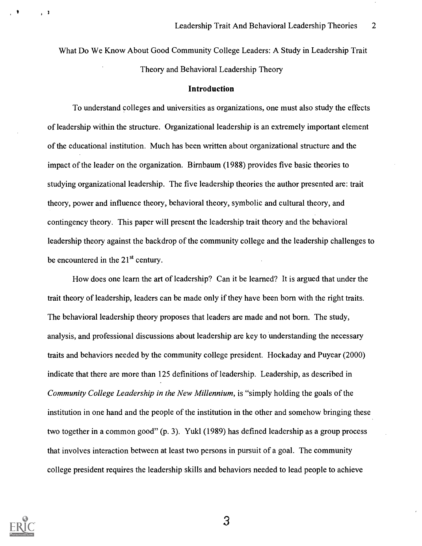What Do We Know About Good Community College Leaders: A Study in Leadership Trait Theory and Behavioral Leadership Theory

#### Introduction

To understand colleges and universities as organizations, one must also study the effects of leadership within the structure. Organizational leadership is an extremely important element of the educational institution. Much has been written about organizational structure and the impact of the leader on the organization. Birnbaum (1988) provides five basic theories to studying organizational leadership. The five leadership theories the author presented are: trait theory, power and influence theory, behavioral theory, symbolic and cultural theory, and contingency theory. This paper will present the leadership trait theory and the behavioral leadership theory against the backdrop of the community college and the leadership challenges to be encountered in the  $21<sup>st</sup>$  century.

How does one learn the art of leadership? Can it be learned? It is argued that under the trait theory of leadership, leaders can be made only if they have been born with the right traits. The behavioral leadership theory proposes that leaders are made and not born. The study, analysis, and professional discussions about leadership are key to understanding the necessary traits and behaviors needed by the community college president. Hockaday and Puyear (2000) indicate that there are more than 125 definitions of leadership. Leadership, as described in Community College Leadership in the New Millennium, is "simply holding the goals of the institution in one hand and the people of the institution in the other and somehow bringing these two together in a common good" (p. 3). Yukl (1989) has defined leadership as a group process that involves interaction between at least two persons in pursuit of a goal. The community college president requires the leadership skills and behaviors needed to lead people to achieve



 $\mathbf{I}$ 

\$ 1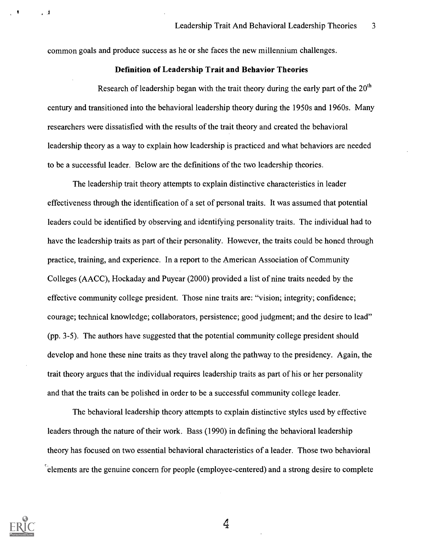common goals and produce success as he or she faces the new millennium challenges.

### Definition of Leadership Trait and Behavior Theories

Research of leadership began with the trait theory during the early part of the  $20<sup>th</sup>$ century and transitioned into the behavioral leadership theory during the 1950s and 1960s. Many researchers were dissatisfied with the results of the trait theory and created the behavioral leadership theory as a way to explain how leadership is practiced and what behaviors are needed to be a successful leader. Below are the definitions of the two leadership theories.

The leadership trait theory attempts to explain distinctive characteristics in leader effectiveness through the identification of a set of personal traits. It was assumed that potential leaders could be identified by observing and identifying personality traits. The individual had to have the leadership traits as part of their personality. However, the traits could be honed through practice, training, and experience. In a report to the American Association of Community Colleges (AACC), Hockaday and Puyear (2000) provided a list of nine traits needed by the effective community college president. Those nine traits are: "vision; integrity; confidence; courage; technical knowledge; collaborators, persistence; good judgment; and the desire to lead" (pp. 3-5). The authors have suggested that the potential community college president should develop and hone these nine traits as they travel along the pathway to the presidency. Again, the trait theory argues that the individual requires leadership traits as part of his or her personality and that the traits can be polished in order to be a successful community college leader.

The behavioral leadership theory attempts to explain distinctive styles used by effective leaders through the nature of their work. Bass (1990) in defining the behavioral leadership theory has focused on two essential behavioral characteristics of a leader. Those two behavioral  $\epsilon$  elements are the genuine concern for people (employee-centered) and a strong desire to complete



 $\overline{1}$ 

, 才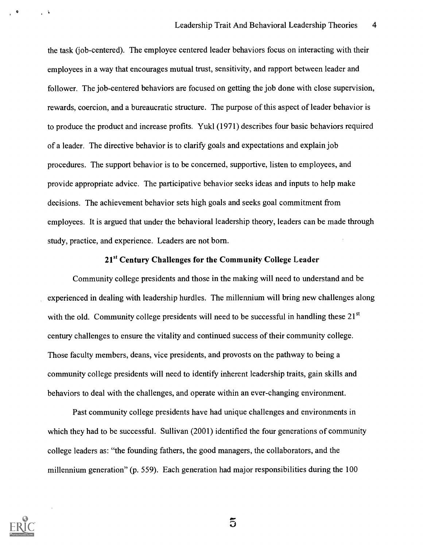the task (job-centered). The employee centered leader behaviors focus on interacting with their employees in a way that encourages mutual trust, sensitivity, and rapport between leader and follower. The job-centered behaviors are focused on getting the job done with close supervision, rewards, coercion, and a bureaucratic structure. The purpose of this aspect of leader behavior is to produce the product and increase profits. Yukl (1971) describes four basic behaviors required of a leader. The directive behavior is to clarify goals and expectations and explain job procedures. The support behavior is to be concerned, supportive, listen to employees, and provide appropriate advice. The participative behavior seeks ideas and inputs to help make decisions. The achievement behavior sets high goals and seeks goal commitment from employees. It is argued that under the behavioral leadership theory, leaders can be made through study, practice, and experience. Leaders are not born.

### 21<sup>st</sup> Century Challenges for the Community College Leader

Community college presidents and those in the making will need to understand and be experienced in dealing with leadership hurdles. The millennium will bring new challenges along with the old. Community college presidents will need to be successful in handling these  $21<sup>st</sup>$ century challenges to ensure the vitality and continued success of their community college. Those faculty members, deans, vice presidents, and provosts on the pathway to being a community college presidents will need to identify inherent leadership traits, gain skills and behaviors to deal with the challenges, and operate within an ever-changing environment.

Past community college presidents have had unique challenges and environments in which they had to be successful. Sullivan (2001) identified the four generations of community college leaders as: "the founding fathers, the good managers, the collaborators, and the millennium generation" (p. 559). Each generation had major responsibilities during the 100



 $\bullet$ 

 $\mathcal{L}^{\mathcal{A}}$ 

 $\tilde{5}$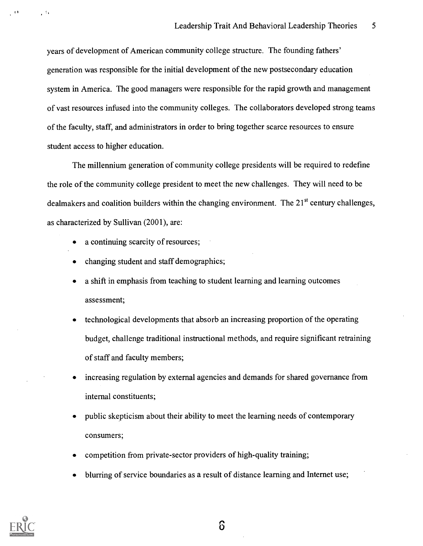years of development of American community college structure. The founding fathers' generation was responsible for the initial development of the new postsecondary education system in America. The good managers were responsible for the rapid growth and management of vast resources infused into the community colleges. The collaborators developed strong teams of the faculty, staff, and administrators in order to bring together scarce resources to ensure student access to higher education.

The millennium generation of community college presidents will be required to redefine the role of the community college president to meet the new challenges. They will need to be dealmakers and coalition builders within the changing environment. The 21<sup>st</sup> century challenges, as characterized by Sullivan (2001), are:

- a continuing scarcity of resources;
- changing student and staff demographics;
- a shift in emphasis from teaching to student learning and learning outcomes assessment;
- technological developments that absorb an increasing proportion of the operating budget, challenge traditional instructional methods, and require significant retraining of staff and faculty members;
- increasing regulation by external agencies and demands for shared governance from internal constituents;
- public skepticism about their ability to meet the learning needs of contemporary consumers;
- competition from private-sector providers of high-quality training;
- blurring of service boundaries as a result of distance learning and Internet use;



 $\mathcal{L}^{\mathcal{A}}$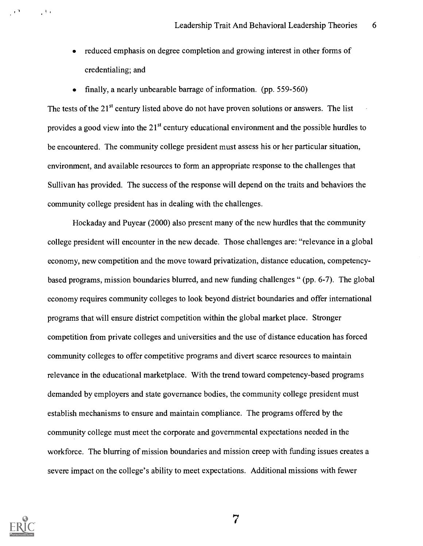- reduced emphasis on degree completion and growing interest in other forms of credentialing; and
- finally, a nearly unbearable barrage of information. (pp. 559-560)

The tests of the  $21<sup>st</sup>$  century listed above do not have proven solutions or answers. The list provides a good view into the  $21<sup>st</sup>$  century educational environment and the possible hurdles to be encountered. The community college president must assess his or her particular situation, environment, and available resources to form an appropriate response to the challenges that Sullivan has provided. The success of the response will depend on the traits and behaviors the community college president has in dealing with the challenges.

Hockaday and Puyear (2000) also present many of the new hurdles that the community college president will encounter in the new decade. Those challenges are: "relevance in a global economy, new competition and the move toward privatization, distance education, competencybased programs, mission boundaries blurred, and new funding challenges " (pp. 6-7). The global economy requires community colleges to look beyond district boundaries and offer international programs that will ensure district competition within the global market place. Stronger competition from private colleges and universities and the use of distance education has forced community colleges to offer competitive programs and divert scarce resources to maintain relevance in the educational marketplace. With the trend toward competency-based programs demanded by employers and state governance bodies, the community college president must establish mechanisms to ensure and maintain compliance. The programs offered by the community college must meet the corporate and governmental expectations needed in the workforce. The blurring of mission boundaries and mission creep with funding issues creates a severe impact on the college's ability to meet expectations. Additional missions with fewer



1 I

 $\mathbb{R}^{|\mathcal{X}|}$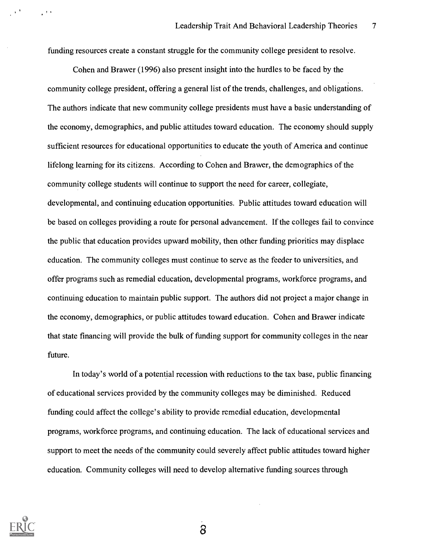funding resources create a constant struggle for the community college president to resolve.

Cohen and Brawer (1996) also present insight into the hurdles to be faced by the community college president, offering a general list of the trends, challenges, and obligations. The authors indicate that new community college presidents must have a basic understanding of the economy, demographics, and public attitudes toward education. The economy should supply sufficient resources for educational opportunities to educate the youth of America and continue lifelong learning for its citizens. According to Cohen and Brawer, the demographics of the community college students will continue to support the need for career, collegiate, developmental, and continuing education opportunities. Public attitudes toward education will be based on colleges providing a route for personal advancement. If the colleges fail to convince the public that education provides upward mobility, then other funding priorities may displace education. The community colleges must continue to serve as the feeder to universities, and offer programs such as remedial education, developmental programs, workforce programs, and continuing education to maintain public support. The authors did not project a major change in the economy, demographics, or public attitudes toward education. Cohen and Brawer indicate that state financing will provide the bulk of funding support for community colleges in the near future.

In today's world of a potential recession with reductions to the tax base, public financing of educational services provided by the community colleges may be diminished. Reduced funding could affect the college's ability to provide remedial education, developmental programs, workforce programs, and continuing education. The lack of educational services and support to meet the needs of the community could severely affect public attitudes toward higher education. Community colleges will need to develop alternative funding sources through



 $\mathbf{r}$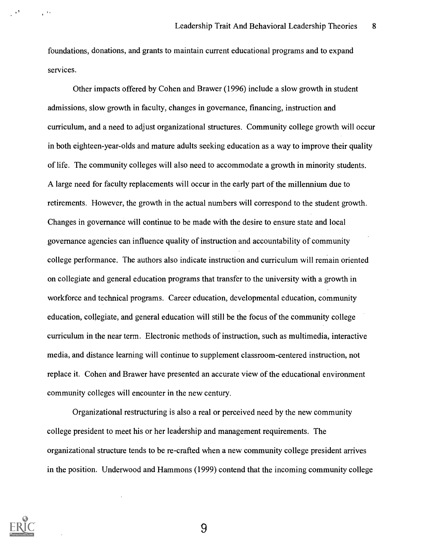foundations, donations, and grants to maintain current educational programs and to expand services.

Other impacts offered by Cohen and Brawer (1996) include a slow growth in student admissions, slow growth in faculty, changes in governance, financing, instruction and curriculum, and a need to adjust organizational structures. Community college growth will occur in both eighteen-year-olds and mature adults seeking education as a way to improve their quality of life. The community colleges will also need to accommodate a growth in minority students. A large need for faculty replacements will occur in the early part of the millennium due to retirements. However, the growth in the actual numbers will correspond to the student growth. Changes in governance will continue to be made with the desire to ensure state and local governance agencies can influence quality of instruction and accountability of community college performance. The authors also indicate instruction and curriculum will remain oriented on collegiate and general education programs that transfer to the university with a growth in workforce and technical programs. Career education, developmental education, community education, collegiate, and general education will still be the focus of the community college curriculum in the near term. Electronic methods of instruction, such as multimedia, interactive media, and distance learning will continue to supplement classroom-centered instruction, not replace it. Cohen and Brawer have presented an accurate view of the educational environment community colleges will encounter in the new century.

Organizational restructuring is also a real or perceived need by the new community college president to meet his or her leadership and management requirements. The organizational structure tends to be re-crafted when a new community college president arrives in the position. Underwood and Hammons (1999) contend that the incoming community college



 $\sim$   $^{\circ}$ 

 $e^{\pm i\omega}$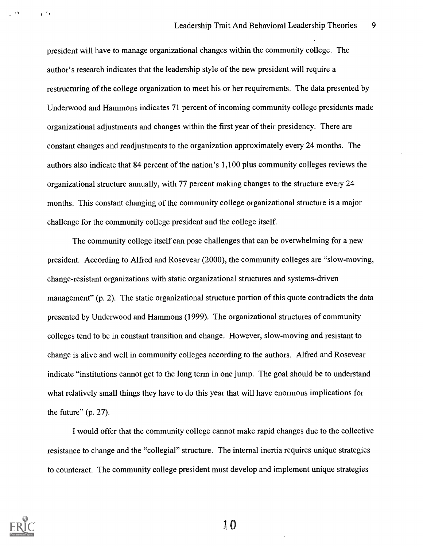president will have to manage organizational changes within the community college. The author's research indicates that the leadership style of the new president will require a restructuring of the college organization to meet his or her requirements. The data presented by Underwood and Hammons indicates 71 percent of incoming community college presidents made organizational adjustments and changes within the first year of their presidency. There are constant changes and readjustments to the organization approximately every 24 months. The authors also indicate that 84 percent of the nation's 1,100 plus community colleges reviews the organizational structure annually, with 77 percent making changes to the structure every 24 months. This constant changing of the community college organizational structure is a major challenge for the community college president and the college itself.

The community college itself can pose challenges that can be overwhelming for a new president. According to Alfred and Rosevear (2000), the community colleges are "slow-moving, change-resistant organizations with static organizational structures and systems-driven management" (p. 2). The static organizational structure portion of this quote contradicts the data presented by Underwood and Hammons (1999). The organizational structures of community colleges tend to be in constant transition and change. However, slow-moving and resistant to change is alive and well in community colleges according to the authors. Alfred and Rosevear indicate "institutions cannot get to the long term in one jump. The goal should be to understand what relatively small things they have to do this year that will have enormous implications for the future" (p. 27).

I would offer that the community college cannot make rapid changes due to the collective resistance to change and the "collegial" structure. The internal inertia requires unique strategies to counteract. The community college president must develop and implement unique strategies



 $\mathbf{r}^{-1}$  :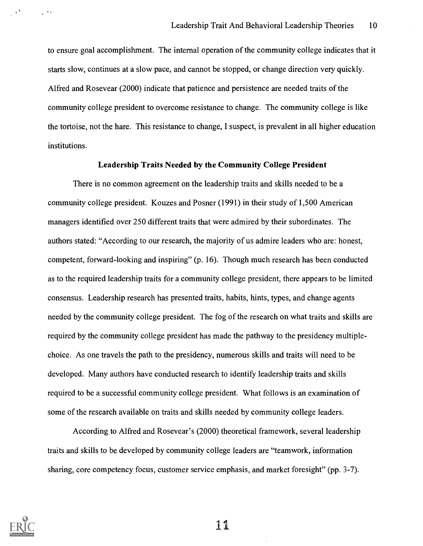to ensure goal accomplishment. The internal operation of the community college indicates that it starts slow, continues at a slow pace, and cannot be stopped, or change direction very quickly. Alfred and Rosevear (2000) indicate that patience and persistence are needed traits of the community college president to overcome resistance to change. The community college is like the tortoise, not the hare. This resistance to change, I suspect, is prevalent in all higher education institutions.

#### Leadership Traits Needed by the Community College President

There is no common agreement on the leadership traits and skills needed to be a community college president. Kouzes and Posner (1991) in their study of 1,500 American managers identified over 250 different traits that were admired by their subordinates. The authors stated: "According to our research, the majority of us admire leaders who are: honest, competent, forward-looking and inspiring" (p. 16). Though much research has been conducted as to the required leadership traits for a community college president, there appears to be limited consensus. Leadership research has presented traits, habits, hints, types, and change agents needed by the community college president. The fog of the research on what traits and skills are required by the community college president has made the pathway to the presidency multiplechoice. As one travels the path to the presidency, numerous skills and traits will need to be developed. Many authors have conducted research to identify leadership traits and skills required to be a successful community college president. What follows is an examination of some of the research available on traits and skills needed by community college leaders.

According to Alfred and Rosevear's (2000) theoretical framework, several leadership traits and skills to be developed by community college leaders are "teamwork, information sharing, core competency focus, customer service emphasis, and market foresight" (pp. 3-7).



 $\sim 2$ 

 $\mathcal{L}^{(0)}$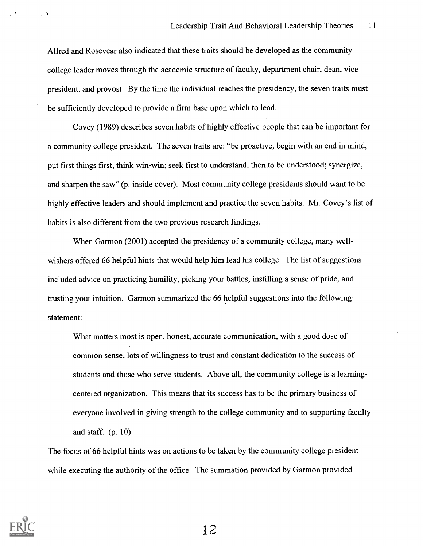Alfred and Rosevear also indicated that these traits should be developed as the community college leader moves through the academic structure of faculty, department chair, dean, vice president, and provost. By the time the individual reaches the presidency, the seven traits must be sufficiently developed to provide a firm base upon which to lead.

Covey (1989) describes seven habits of highly effective people that can be important for a community college president. The seven traits are: "be proactive, begin with an end in mind, put first things first, think win-win; seek first to understand, then to be understood; synergize, and sharpen the saw" (p. inside cover). Most community college presidents should want to be highly effective leaders and should implement and practice the seven habits. Mr. Covey's list of habits is also different from the two previous research findings.

When Garmon (2001) accepted the presidency of a community college, many wellwishers offered 66 helpful hints that would help him lead his college. The list of suggestions included advice on practicing humility, picking your battles, instilling a sense of pride, and trusting your intuition. Garmon summarized the 66 helpful suggestions into the following statement:

What matters most is open, honest, accurate communication, with a good dose of common sense, lots of willingness to trust and constant dedication to the success of students and those who serve students. Above all, the community college is a learningcentered organization. This means that its success has to be the primary business of everyone involved in giving strength to the college community and to supporting faculty and staff. (p. 10)

The focus of 66 helpful hints was on actions to be taken by the community college president while executing the authority of the office. The summation provided by Garmon provided



 $\sqrt{3}$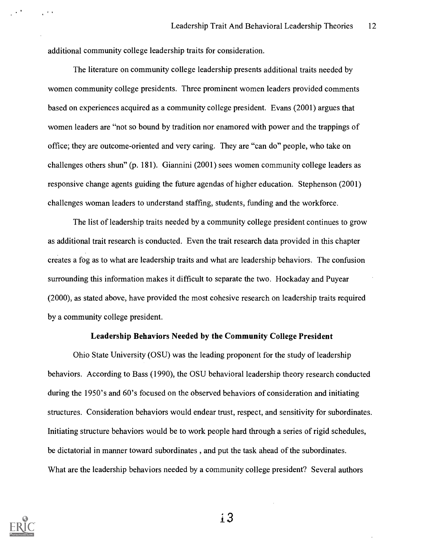additional community college leadership traits for consideration.

 $\mathcal{C}^{(n)}$ 

The literature on community college leadership presents additional traits needed by women community college presidents. Three prominent women leaders provided comments based on experiences acquired as a community college president. Evans (2001) argues that women leaders are "not so bound by tradition nor enamored with power and the trappings of office; they are outcome-oriented and very caring. They are "can do" people, who take on challenges others shun" (p. 181). Giannini (2001) sees women community college leaders as responsive change agents guiding the future agendas of higher education. Stephenson (2001) challenges woman leaders to understand staffing, students, funding and the workforce.

The list of leadership traits needed by a community college president continues to grow as additional trait research is conducted. Even the trait research data provided in this chapter creates a fog as to what are leadership traits and what are leadership behaviors. The confusion surrounding this information makes it difficult to separate the two. Hockaday and Puyear (2000), as stated above, have provided the most cohesive research on leadership traits required by a community college president.

### Leadership Behaviors Needed by the Community College President

Ohio State University (OSU) was the leading proponent for the study of leadership behaviors. According to Bass (1990), the OSU behavioral leadership theory research conducted during the 1950's and 60's focused on the observed behaviors of consideration and initiating structures. Consideration behaviors would endear trust, respect, and sensitivity for subordinates. Initiating structure behaviors would be to work people hard through a series of rigid schedules, be dictatorial in manner toward subordinates , and put the task ahead of the subordinates. What are the leadership behaviors needed by a community college president? Several authors

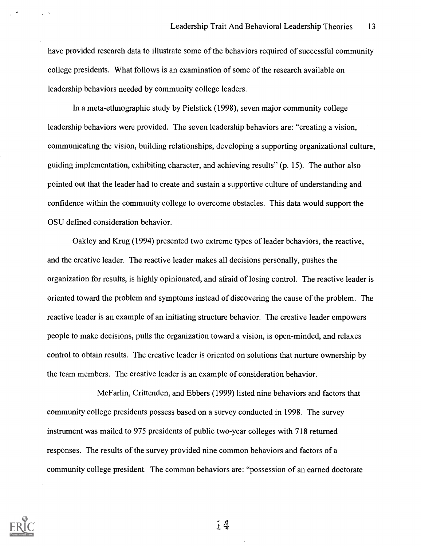have provided research data to illustrate some of the behaviors required of successful community college presidents. What follows is an examination of some of the research available on leadership behaviors needed by community college leaders.

In a meta-ethnographic study by Pielstick (1998), seven major community college leadership behaviors were provided. The seven leadership behaviors are: "creating a vision, communicating the vision, building relationships, developing a supporting organizational culture, guiding implementation, exhibiting character, and achieving results" (p. 15). The author also pointed out that the leader had to create and sustain a supportive culture of understanding and confidence within the community college to overcome obstacles. This data would support the OSU defined consideration behavior.

Oakley and Krug (1994) presented two extreme types of leader behaviors, the reactive, and the creative leader. The reactive leader makes all decisions personally, pushes the organization for results, is highly opinionated, and afraid of losing control. The reactive leader is oriented toward the problem and symptoms instead of discovering the cause of the problem. The reactive leader is an example of an initiating structure behavior. The creative leader empowers people to make decisions, pulls the organization toward a vision, is open-minded, and relaxes control to obtain results. The creative leader is oriented on solutions that nurture ownership by the team members. The creative leader is an example of consideration behavior.

McFarlin, Crittenden, and Ebbers (1999) listed nine behaviors and factors that community college presidents possess based on a survey conducted in 1998. The survey instrument was mailed to 975 presidents of public two-year colleges with 718 returned responses. The results of the survey provided nine common behaviors and factors of a community college president. The common behaviors are: "possession of an earned doctorate



 $\mathbf{r} = \mathbf{0}$ 

i4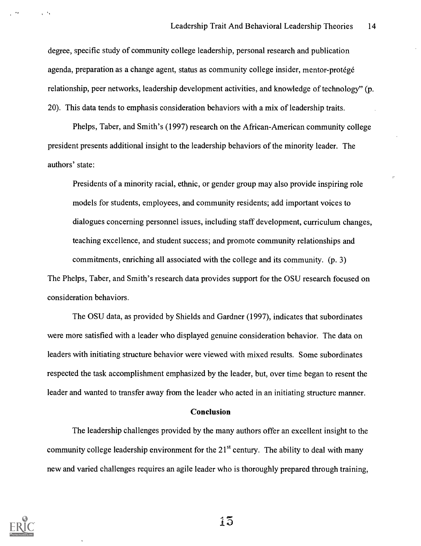degree, specific study of community college leadership, personal research and publication agenda, preparation as a change agent, status as community college insider, mentor-protégé relationship, peer networks, leadership development activities, and knowledge of technology" (p. 20). This data tends to emphasis consideration behaviors with a mix of leadership traits.

Phelps, Taber, and Smith's (1997) research on the African-American community college president presents additional insight to the leadership behaviors of the minority leader. The authors' state:

Presidents of a minority racial, ethnic, or gender group may also provide inspiring role models for students, employees, and community residents; add important voices to dialogues concerning personnel issues, including staff development, curriculum changes, teaching excellence, and student success; and promote community relationships and commitments, enriching all associated with the college and its community. (p. 3) The Phelps, Taber, and Smith's research data provides support for the OSU research focused on consideration behaviors.

The OSU data, as provided by Shields and Gardner (1997), indicates that subordinates were more satisfied with a leader who displayed genuine consideration behavior. The data on leaders with initiating structure behavior were viewed with mixed results. Some subordinates respected the task accomplishment emphasized by the leader, but, over time began to resent the leader and wanted to transfer away from the leader who acted in an initiating structure manner.

#### Conclusion

The leadership challenges provided by the many authors offer an excellent insight to the community college leadership environment for the  $21<sup>st</sup>$  century. The ability to deal with many new and varied challenges requires an agile leader who is thoroughly prepared through training,



 $\mathbf{r}^{(1)}$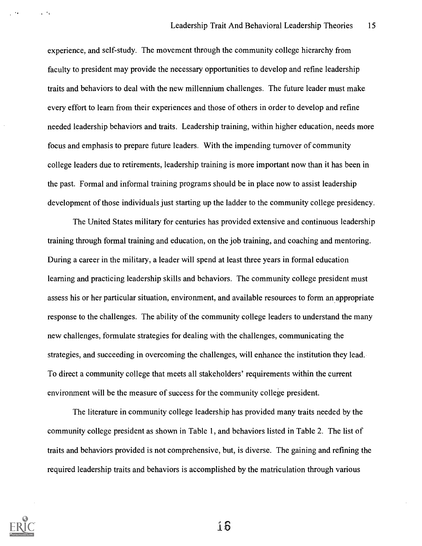experience, and self-study. The movement through the community college hierarchy from faculty to president may provide the necessary opportunities to develop and refine leadership traits and behaviors to deal with the new millennium challenges. The future leader must make every effort to learn from their experiences and those of others in order to develop and refine needed leadership behaviors and traits. Leadership training, within higher education, needs more focus and emphasis to prepare future leaders. With the impending turnover of community college leaders due to retirements, leadership training is more important now than it has been in the past. Formal and informal training programs should be in place now to assist leadership development of those individuals just starting up the ladder to the community college presidency.

The United States military for centuries has provided extensive and continuous leadership training through formal training and education, on the job training, and coaching and mentoring. During a career in the military, a leader will spend at least three years in formal education learning and practicing leadership skills and behaviors. The community college president must assess his or her particular situation, environment, and available resources to form an appropriate response to the challenges. The ability of the community college leaders to understand the many new challenges, formulate strategies for dealing with the challenges, communicating the strategies, and succeeding in overcoming the challenges, will enhance the institution they lead. To direct a community college that meets all stakeholders' requirements within the current environment will be the measure of success for the community college president.

The literature in community college leadership has provided many traits needed by the community college president as shown in Table 1, and behaviors listed in Table 2. The list of traits and behaviors provided is not comprehensive, but, is diverse. The gaining and refining the required leadership traits and behaviors is accomplished by the matriculation through various



 $\mathbf{r}^{-1}$ 

់សិ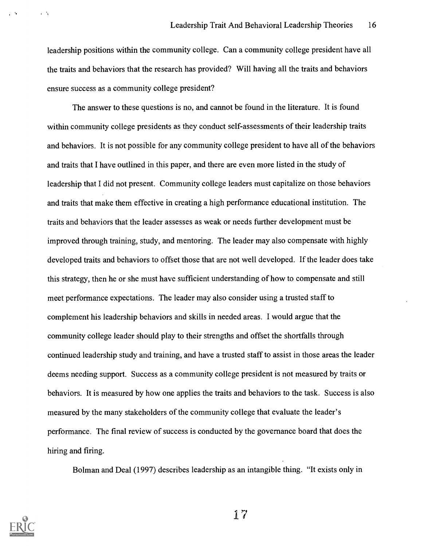leadership positions within the community college. Can a community college president have all the traits and behaviors that the research has provided? Will having all the traits and behaviors ensure success as a community college president?

The answer to these questions is no, and cannot be found in the literature. It is found within community college presidents as they conduct self-assessments of their leadership traits and behaviors. It is not possible for any community college president to have all of the behaviors and traits that I have outlined in this paper, and there are even more listed in the study of leadership that I did not present. Community college leaders must capitalize on those behaviors and traits that make them effective in creating a high performance educational institution. The traits and behaviors that the leader assesses as weak or needs further development must be improved through training, study, and mentoring. The leader may also compensate with highly developed traits and behaviors to offset those that are not well developed. If the leader does take this strategy, then he or she must have sufficient understanding of how to compensate and still meet performance expectations. The leader may also consider using a trusted staff to complement his leadership behaviors and skills in needed areas. I would argue that the community college leader should play to their strengths and offset the shortfalls through continued leadership study and training, and have a trusted staff to assist in those areas the leader deems needing support. Success as a community college president is not measured by traits or behaviors. It is measured by how one applies the traits and behaviors to the task. Success is also measured by the many stakeholders of the community college that evaluate the leader's performance. The final review of success is conducted by the governance board that does the hiring and firing.

Bolman and Deal (1997) describes leadership as an intangible thing. "It exists only in



 $\mathcal{C}^{(1)}$ 

 $\mathbf{A}$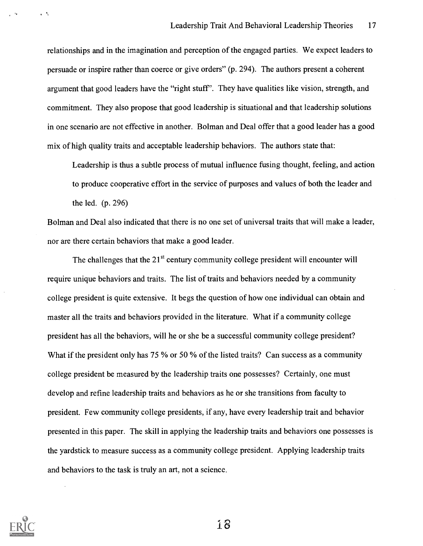relationships and in the imagination and perception of the engaged parties. We expect leaders to persuade or inspire rather than coerce or give orders" (p. 294). The authors present a coherent argument that good leaders have the "right stuff'. They have qualities like vision, strength, and commitment. They also propose that good leadership is situational and that leadership solutions in one scenario are not effective in another. Bolman and Deal offer that a good leader has a good mix of high quality traits and acceptable leadership behaviors. The authors state that:

Leadership is thus a subtle process of mutual influence fusing thought, feeling, and action to produce cooperative effort in the service of purposes and values of both the leader and the led. (p. 296)

Bolman and Deal also indicated that there is no one set of universal traits that will make a leader, nor are there certain behaviors that make a good leader.

The challenges that the  $21<sup>st</sup>$  century community college president will encounter will require unique behaviors and traits. The list of traits and behaviors needed by a community college president is quite extensive. It begs the question of how one individual can obtain and master all the traits and behaviors provided in the literature. What if a community college president has all the behaviors, will he or she be a successful community college president? What if the president only has 75 % or 50 % of the listed traits? Can success as a community college president be measured by the leadership traits one possesses? Certainly, one must develop and refine leadership traits and behaviors as he or she transitions from faculty to president. Few community college presidents, if any, have every leadership trait and behavior presented in this paper. The skill in applying the leadership traits and behaviors one possesses is the yardstick to measure success as a community college president. Applying leadership traits and behaviors to the task is truly an art, not a science.



 $\ddot{\phantom{a}}$ 

 $\mathcal{A}_1$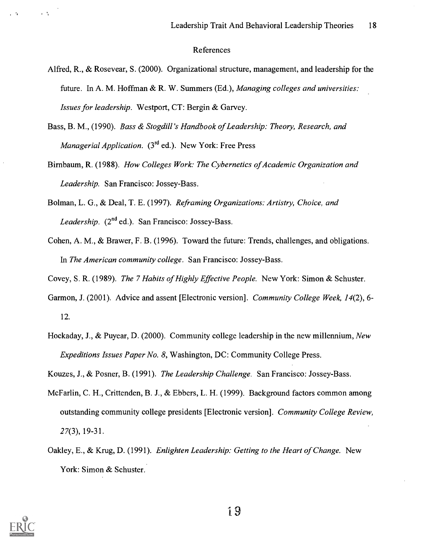#### References

- Alfred, R., & Rosevear, S. (2000). Organizational structure, management, and leadership for the future. In A. M. Hoffman & R. W. Summers (Ed.), Managing colleges and universities: Issues for leadership. Westport, CT: Bergin & Garvey.
- Bass, B. M., (1990). Bass & Stogdill 's Handbook of Leadership: Theory, Research, and *Managerial Application.*  $(3<sup>rd</sup>$  ed.). New York: Free Press
- Birnbaum, R. (1988). How Colleges Work: The Cybernetics of Academic Organization and Leadership. San Francisco: Jossey-Bass.
- Bolman, L. G., & Deal, T. E. (1997). Reframing Organizations: Artistry, Choice, and Leadership.  $(2^{nd}$  ed.). San Francisco: Jossey-Bass.
- Cohen, A. M., & Brawer, F. B. (1996). Toward the future: Trends, challenges, and obligations. In The American community college. San Francisco: Jossey-Bass.
- Covey, S. R. (1989). The 7 Habits of Highly Effective People. New York: Simon & Schuster.
- Garmon, J. (2001). Advice and assent [Electronic version]. Community College Week, 14(2), 6-12.
- Hockaday, J., & Puyear, D. (2000). Community college leadership in the new millennium, New Expeditions Issues Paper No. 8, Washington, DC: Community College Press.
- Kouzes, J., & Posner, B. (1991). The Leadership Challenge. San Francisco: Jossey-Bass.
- McFarlin, C. H., Crittenden, B. J., & Ebbers, L. H. (1999). Background factors common among outstanding community college presidents [Electronic version]. Community College Review, 27(3), 19-31.
- Oakley, E., & Krug, D. (1991). *Enlighten Leadership: Getting to the Heart of Change.* New York: Simon & Schuster.



i A

. A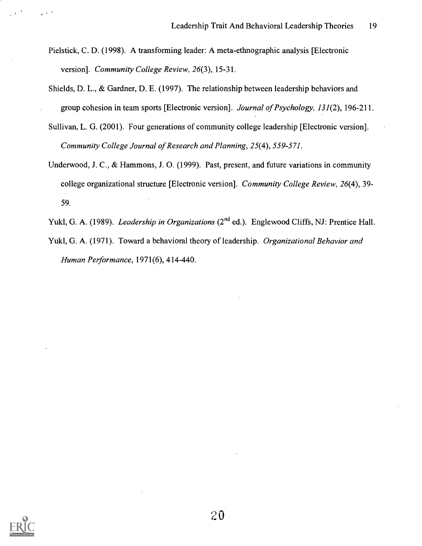- Pielstick, C. D. (1998). A transforming leader: A meta-ethnographic analysis [Electronic version]. Community College Review, 26(3), 15-31.
- Shields, D. L., & Gardner, D. E. (1997). The relationship between leadership behaviors and group cohesion in team sports [Electronic version]. Journal of Psychology, 131(2), 196-211.
- Sullivan, L. G. (2001). Four generations of community college leadership [Electronic version]. Community College Journal of Research and Planning, 25(4), 559-571.
- Underwood, J. C., & Hammons, J. 0. (1999). Past, present, and future variations in community college organizational structure [Electronic version]. Community College Review, 26(4), 39- 59.
- Yukl, G. A. (1989). *Leadership in Organizations* (2<sup>nd</sup> ed.). Englewood Cliffs, NJ: Prentice Hall.
- Yukl, G. A. (1971). Toward a behavioral theory of leadership. Organizational Behavior and Human Performance, 1971(6), 414-440.



 $\mu \propto 0$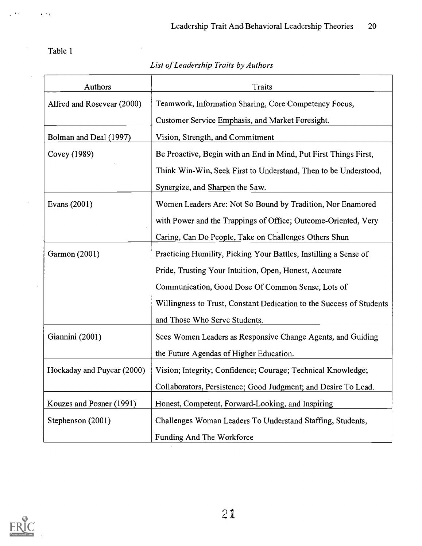Table 1

 $\epsilon^{-1}$  ).

 $\hat{\boldsymbol{\gamma}}$ 

 $\hat{\mathcal{A}}$ 

 $\mathcal{A}^{\mathcal{A}}$ 

 $\sim$ 

# List of Leadership Traits by Authors

 $\mathcal{L}_{\mathcal{A}}$ 

| Authors                                                                         | <b>Traits</b>                                                        |  |
|---------------------------------------------------------------------------------|----------------------------------------------------------------------|--|
| Alfred and Rosevear (2000)                                                      | Teamwork, Information Sharing, Core Competency Focus,                |  |
|                                                                                 | Customer Service Emphasis, and Market Foresight.                     |  |
| Bolman and Deal (1997)                                                          | Vision, Strength, and Commitment                                     |  |
| Covey (1989)                                                                    | Be Proactive, Begin with an End in Mind, Put First Things First,     |  |
|                                                                                 | Think Win-Win, Seek First to Understand, Then to be Understood,      |  |
|                                                                                 | Synergize, and Sharpen the Saw.                                      |  |
| Evans (2001)                                                                    | Women Leaders Are: Not So Bound by Tradition, Nor Enamored           |  |
|                                                                                 | with Power and the Trappings of Office; Outcome-Oriented, Very       |  |
|                                                                                 | Caring, Can Do People, Take on Challenges Others Shun                |  |
| Garmon (2001)                                                                   | Practicing Humility, Picking Your Battles, Instilling a Sense of     |  |
|                                                                                 | Pride, Trusting Your Intuition, Open, Honest, Accurate               |  |
|                                                                                 | Communication, Good Dose Of Common Sense, Lots of                    |  |
|                                                                                 | Willingness to Trust, Constant Dedication to the Success of Students |  |
|                                                                                 | and Those Who Serve Students.                                        |  |
| Giannini (2001)                                                                 | Sees Women Leaders as Responsive Change Agents, and Guiding          |  |
|                                                                                 | the Future Agendas of Higher Education.                              |  |
| Hockaday and Puyear (2000)                                                      | Vision; Integrity; Confidence; Courage; Technical Knowledge;         |  |
|                                                                                 | Collaborators, Persistence; Good Judgment; and Desire To Lead        |  |
| Kouzes and Posner (1991)                                                        | Honest, Competent, Forward-Looking, and Inspiring                    |  |
| Stephenson (2001)<br>Challenges Woman Leaders To Understand Staffing, Students, |                                                                      |  |
|                                                                                 | Funding And The Workforce                                            |  |

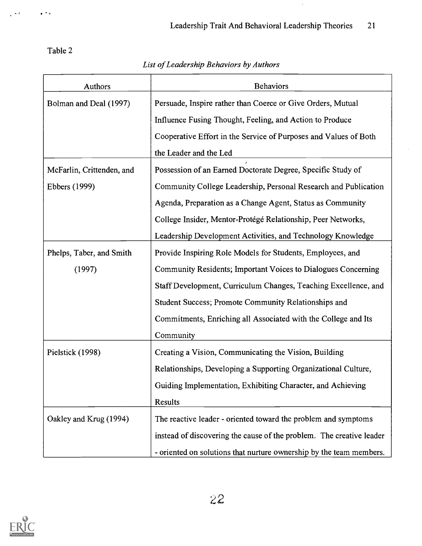$\hat{\boldsymbol{\beta}}$ 

Table 2

 $\frac{1}{2}$  ,  $\frac{1}{2}$ 

 $\frac{1}{2}$  ,  $\frac{1}{2}$ 

# List of Leadership Behaviors by Authors

| <b>Authors</b>            | <b>Behaviors</b>                                                     |  |
|---------------------------|----------------------------------------------------------------------|--|
| Bolman and Deal (1997)    | Persuade, Inspire rather than Coerce or Give Orders, Mutual          |  |
|                           | Influence Fusing Thought, Feeling, and Action to Produce             |  |
|                           | Cooperative Effort in the Service of Purposes and Values of Both     |  |
|                           | the Leader and the Led                                               |  |
| McFarlin, Crittenden, and | Possession of an Earned Doctorate Degree, Specific Study of          |  |
| Ebbers (1999)             | Community College Leadership, Personal Research and Publication      |  |
|                           | Agenda, Preparation as a Change Agent, Status as Community           |  |
|                           | College Insider, Mentor-Protégé Relationship, Peer Networks,         |  |
|                           | Leadership Development Activities, and Technology Knowledge          |  |
| Phelps, Taber, and Smith  | Provide Inspiring Role Models for Students, Employees, and           |  |
| (1997)                    | Community Residents; Important Voices to Dialogues Concerning        |  |
|                           | Staff Development, Curriculum Changes, Teaching Excellence, and      |  |
|                           | Student Success; Promote Community Relationships and                 |  |
|                           | Commitments, Enriching all Associated with the College and Its       |  |
|                           | Community                                                            |  |
| Pielstick (1998)          | Creating a Vision, Communicating the Vision, Building                |  |
|                           | Relationships, Developing a Supporting Organizational Culture,       |  |
|                           | Guiding Implementation, Exhibiting Character, and Achieving          |  |
|                           | Results                                                              |  |
| Oakley and Krug (1994)    | The reactive leader - oriented toward the problem and symptoms       |  |
|                           | instead of discovering the cause of the problem. The creative leader |  |
|                           | - oriented on solutions that nurture ownership by the team members.  |  |

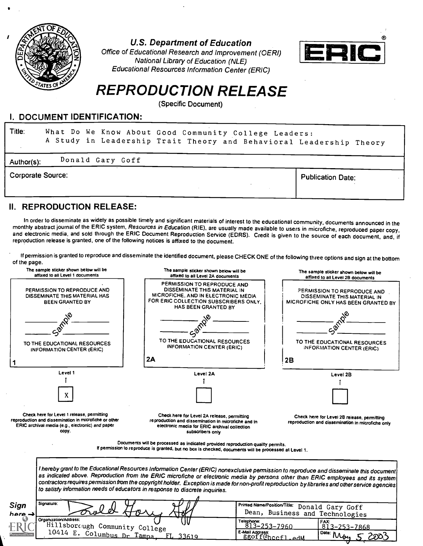

U.S. Department of Education

Office of Educational Research and Improvement (OERI) National Library of Education (NLE) Educational Resources Information Center (ERIC)



# REPRODUCTION RELEASE

(Specific Document)

### I. DOCUMENT IDENTIFICATION:

| Title:                   |                  | What Do We Know About Good Community College Leaders:<br>A Study in Leadership Trait Theory and Behavioral Leadership Theory |
|--------------------------|------------------|------------------------------------------------------------------------------------------------------------------------------|
| Author(s):               | Donald Gary Goff |                                                                                                                              |
| <b>Corporate Source:</b> |                  | <b>Publication Date:</b>                                                                                                     |

II. REPRODUCTION RELEASE:

In order to disseminate as widely as possible timely and significant materials of interest to the educational community, documents announced in the<br>monthly abstract journal of the ERIC system, Resources in Education (RIE),

If permission is granted to reproduce and disseminate the identified document, please CHECK ONE of the following three options and sign at the bottom of the page.

| affixed to all Level 1 documents                                                                                                                                 | The sample sticker shown below will be<br>affixed to all Level 2A documents                                                                                                                                                                                                                                                                                           | The sample sticker shown below will be<br>affixed to all Level 2B documents                        |  |
|------------------------------------------------------------------------------------------------------------------------------------------------------------------|-----------------------------------------------------------------------------------------------------------------------------------------------------------------------------------------------------------------------------------------------------------------------------------------------------------------------------------------------------------------------|----------------------------------------------------------------------------------------------------|--|
| PERMISSION TO REPRODUCE AND<br>DISSEMINATE THIS MATERIAL HAS<br><b>BEEN GRANTED BY</b>                                                                           | PERMISSION TO REPRODUCE AND<br>DISSEMINATE THIS MATERIAL IN<br>MICROFICHE, AND IN ELECTRONIC MEDIA<br>FOR ERIC COLLECTION SUBSCRIBERS ONLY.<br>HAS BEEN GRANTED BY                                                                                                                                                                                                    | PERMISSION TO REPRODUCE AND<br>DISSEMINATE THIS MATERIAL IN<br>MICROFICHE ONLY HAS BEEN GRANTED BY |  |
| TO THE EDUCATIONAL RESOURCES<br><b>INFORMATION CENTER (ERIC)</b>                                                                                                 | TO THE EDUCATIONAL RESOURCES<br><b>INFORMATION CENTER (ERIC)</b>                                                                                                                                                                                                                                                                                                      | TO THE EDUCATIONAL RESOURCES<br>INFORMATION CENTER (ERIC)                                          |  |
|                                                                                                                                                                  | 2A                                                                                                                                                                                                                                                                                                                                                                    | 2B                                                                                                 |  |
| Level 1                                                                                                                                                          | Level 2A                                                                                                                                                                                                                                                                                                                                                              | Level 2B                                                                                           |  |
| X                                                                                                                                                                |                                                                                                                                                                                                                                                                                                                                                                       |                                                                                                    |  |
| Check here for Level 1 release, permitting<br>reproduction and dissemination in microfiche or other<br>ERIC archival media (e.g., electronic) and paper<br>copy. | Check here for Level 2A release, permitting<br>reproduction and dissemination in microfiche and in<br>electronic media for ERIC archival collection<br>subscribers only                                                                                                                                                                                               | Check here for Level 2B release, permitting<br>reproduction and dissemination in microfiche only   |  |
|                                                                                                                                                                  | Documents will be processed as indicated provided reproduction quality permits.<br>If permission to reproduce is granted, but no box is checked, documents will be processed at Level 1.                                                                                                                                                                              |                                                                                                    |  |
|                                                                                                                                                                  |                                                                                                                                                                                                                                                                                                                                                                       |                                                                                                    |  |
| I hereby grant to the Educational Resources Information Center (ERIC) nonexclusive permission to reproduce and disseminate this document                         | as indicated above. Reproduction from the ERIC microfiche or electronic media by persons other than ERIC employees and its system<br>contractors requires permission from the copyright holder. Exception is made for non-profit reproduction by libraries and other service agencies<br>to satisfy information needs of educators in response to discrete inquiries. |                                                                                                    |  |
| Signature:<br>Sign<br>here.→<br>Organization/Address:                                                                                                            |                                                                                                                                                                                                                                                                                                                                                                       | Printed Name/Position/Title: Donald Gary Goff<br>Dean, Business and Technologies                   |  |